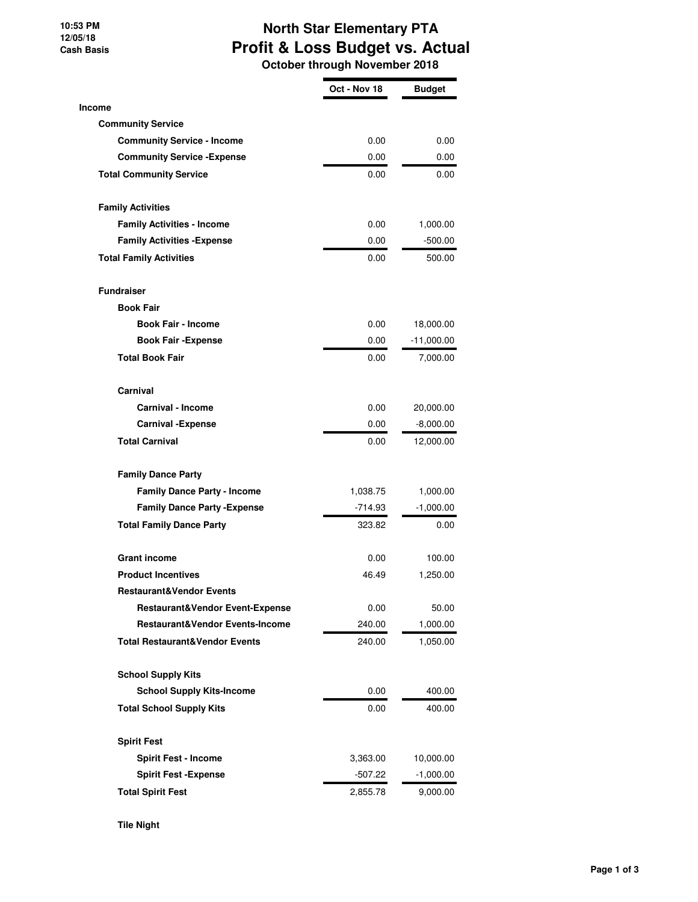## **10:53 PM 12/05/18 Cash Basis**

## **North Star Elementary PTA Profit & Loss Budget vs. Actual October through November 2018**

|                                           | Oct - Nov 18 | <b>Budget</b> |
|-------------------------------------------|--------------|---------------|
| Income                                    |              |               |
| <b>Community Service</b>                  |              |               |
| <b>Community Service - Income</b>         | 0.00         | 0.00          |
| <b>Community Service - Expense</b>        | 0.00         | 0.00          |
| <b>Total Community Service</b>            | 0.00         | 0.00          |
| <b>Family Activities</b>                  |              |               |
| <b>Family Activities - Income</b>         | 0.00         | 1,000.00      |
| <b>Family Activities - Expense</b>        | 0.00         | $-500.00$     |
| <b>Total Family Activities</b>            | 0.00         | 500.00        |
| <b>Fundraiser</b>                         |              |               |
| <b>Book Fair</b>                          |              |               |
| <b>Book Fair - Income</b>                 | 0.00         | 18,000.00     |
| <b>Book Fair - Expense</b>                | 0.00         | $-11,000.00$  |
| <b>Total Book Fair</b>                    | 0.00         | 7,000.00      |
| Carnival                                  |              |               |
| <b>Carnival - Income</b>                  | 0.00         | 20,000.00     |
| <b>Carnival -Expense</b>                  | 0.00         | $-8,000.00$   |
| <b>Total Carnival</b>                     | 0.00         | 12,000.00     |
| <b>Family Dance Party</b>                 |              |               |
| <b>Family Dance Party - Income</b>        | 1,038.75     | 1,000.00      |
| <b>Family Dance Party - Expense</b>       | $-714.93$    | $-1,000.00$   |
| <b>Total Family Dance Party</b>           | 323.82       | 0.00          |
| <b>Grant income</b>                       | 0.00         | 100.00        |
| <b>Product Incentives</b>                 | 46.49        | 1,250.00      |
| <b>Restaurant&amp;Vendor Events</b>       |              |               |
| Restaurant&Vendor Event-Expense           | 0.00         | 50.00         |
| Restaurant&Vendor Events-Income           | 240.00       | 1,000.00      |
| <b>Total Restaurant&amp;Vendor Events</b> | 240.00       | 1,050.00      |
| <b>School Supply Kits</b>                 |              |               |
| <b>School Supply Kits-Income</b>          | 0.00         | 400.00        |
| <b>Total School Supply Kits</b>           | 0.00         | 400.00        |
| <b>Spirit Fest</b>                        |              |               |
| <b>Spirit Fest - Income</b>               | 3,363.00     | 10,000.00     |
| <b>Spirit Fest -Expense</b>               | -507.22      | $-1,000.00$   |
| <b>Total Spirit Fest</b>                  | 2,855.78     | 9,000.00      |

**Tile Night**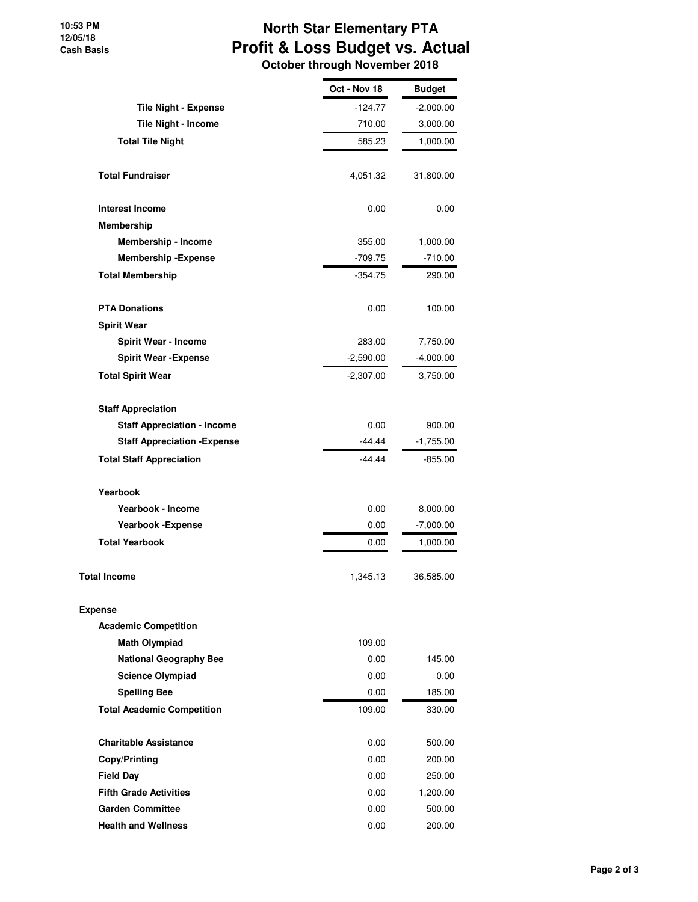## **North Star Elementary PTA Profit & Loss Budget vs. Actual October through November 2018**

|                                     | Oct - Nov 18 | <b>Budget</b> |
|-------------------------------------|--------------|---------------|
| <b>Tile Night - Expense</b>         | $-124.77$    | $-2,000.00$   |
| Tile Night - Income                 | 710.00       | 3,000.00      |
| <b>Total Tile Night</b>             | 585.23       | 1,000.00      |
| <b>Total Fundraiser</b>             | 4,051.32     | 31,800.00     |
| <b>Interest Income</b>              | 0.00         | 0.00          |
| Membership                          |              |               |
| Membership - Income                 | 355.00       | 1,000.00      |
| <b>Membership - Expense</b>         | -709.75      | $-710.00$     |
| <b>Total Membership</b>             | $-354.75$    | 290.00        |
| <b>PTA Donations</b>                | 0.00         | 100.00        |
| <b>Spirit Wear</b>                  |              |               |
| <b>Spirit Wear - Income</b>         | 283.00       | 7,750.00      |
| <b>Spirit Wear - Expense</b>        | $-2,590.00$  | $-4,000.00$   |
| <b>Total Spirit Wear</b>            | $-2,307.00$  | 3,750.00      |
| <b>Staff Appreciation</b>           |              |               |
| <b>Staff Appreciation - Income</b>  | 0.00         | 900.00        |
| <b>Staff Appreciation - Expense</b> | -44.44       | $-1,755.00$   |
| <b>Total Staff Appreciation</b>     | -44.44       | $-855.00$     |
| Yearbook                            |              |               |
| Yearbook - Income                   | 0.00         | 8,000.00      |
| <b>Yearbook -Expense</b>            | 0.00         | $-7,000.00$   |
| <b>Total Yearbook</b>               | 0.00         | 1,000.00      |
| <b>Total Income</b>                 | 1,345.13     | 36,585.00     |
| <b>Expense</b>                      |              |               |
| <b>Academic Competition</b>         |              |               |
| <b>Math Olympiad</b>                | 109.00       |               |
| <b>National Geography Bee</b>       | 0.00         | 145.00        |
| <b>Science Olympiad</b>             | 0.00         | 0.00          |
| <b>Spelling Bee</b>                 | 0.00         | 185.00        |
| <b>Total Academic Competition</b>   | 109.00       | 330.00        |
| <b>Charitable Assistance</b>        | 0.00         | 500.00        |
| Copy/Printing                       | 0.00         | 200.00        |
| <b>Field Day</b>                    | 0.00         | 250.00        |
| <b>Fifth Grade Activities</b>       | 0.00         | 1,200.00      |
| <b>Garden Committee</b>             | 0.00         | 500.00        |
| <b>Health and Wellness</b>          | 0.00         | 200.00        |